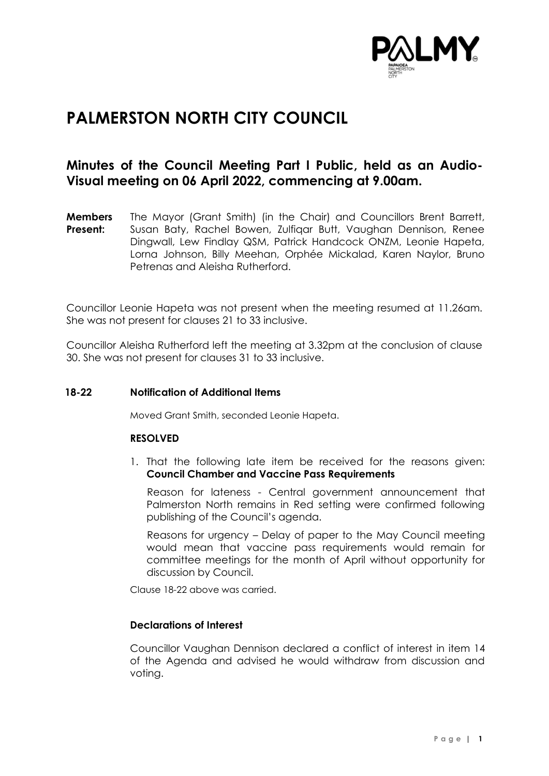

# **PALMERSTON NORTH CITY COUNCIL**

# **Minutes of the Council Meeting Part I Public, held as an Audio-Visual meeting on 06 April 2022, commencing at 9.00am.**

**Members Present:** The Mayor (Grant Smith) (in the Chair) and Councillors Brent Barrett, Susan Baty, Rachel Bowen, Zulfiqar Butt, Vaughan Dennison, Renee Dingwall, Lew Findlay QSM, Patrick Handcock ONZM, Leonie Hapeta, Lorna Johnson, Billy Meehan, Orphée Mickalad, Karen Naylor, Bruno Petrenas and Aleisha Rutherford.

Councillor Leonie Hapeta was not present when the meeting resumed at 11.26am. She was not present for clauses 21 to 33 inclusive.

Councillor Aleisha Rutherford left the meeting at 3.32pm at the conclusion of clause 30. She was not present for clauses 31 to 33 inclusive.

### **18-22 Notification of Additional Items**

Moved Grant Smith, seconded Leonie Hapeta.

#### **RESOLVED**

1. That the following late item be received for the reasons given: **Council Chamber and Vaccine Pass Requirements**

 Reason for lateness - Central government announcement that Palmerston North remains in Red setting were confirmed following publishing of the Council's agenda.

 Reasons for urgency – Delay of paper to the May Council meeting would mean that vaccine pass requirements would remain for committee meetings for the month of April without opportunity for discussion by Council.

Clause 18-22 above was carried.

### **Declarations of Interest**

Councillor Vaughan Dennison declared a conflict of interest in item 14 of the Agenda and advised he would withdraw from discussion and voting.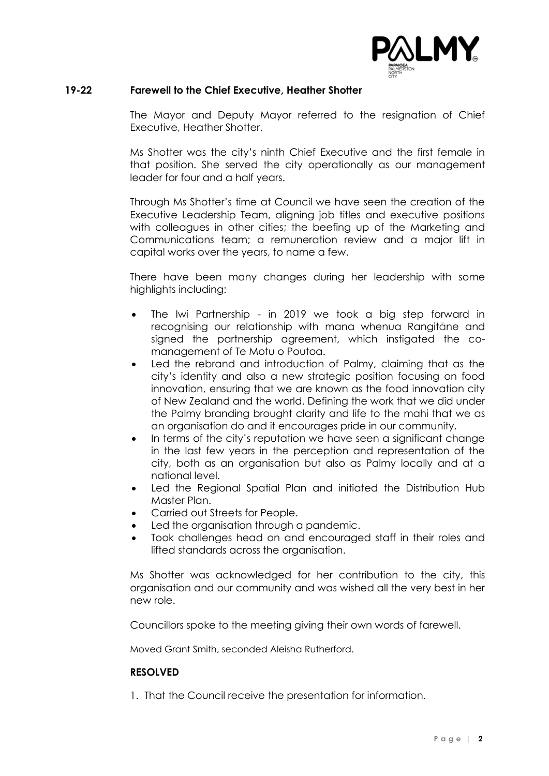

### **19-22 Farewell to the Chief Executive, Heather Shotter**

The Mayor and Deputy Mayor referred to the resignation of Chief Executive, Heather Shotter.

Ms Shotter was the city's ninth Chief Executive and the first female in that position. She served the city operationally as our management leader for four and a half years.

Through Ms Shotter's time at Council we have seen the creation of the Executive Leadership Team, aligning job titles and executive positions with colleagues in other cities; the beefing up of the Marketing and Communications team; a remuneration review and a major lift in capital works over the years, to name a few.

There have been many changes during her leadership with some highlights including:

- The Iwi Partnership in 2019 we took a big step forward in recognising our relationship with mana whenua Rangitāne and signed the partnership agreement, which instigated the comanagement of Te Motu o Poutoa.
- Led the rebrand and introduction of Palmy, claiming that as the city's identity and also a new strategic position focusing on food innovation, ensuring that we are known as the food innovation city of New Zealand and the world. Defining the work that we did under the Palmy branding brought clarity and life to the mahi that we as an organisation do and it encourages pride in our community.
- In terms of the city's reputation we have seen a significant change in the last few years in the perception and representation of the city, both as an organisation but also as Palmy locally and at a national level.
- Led the Regional Spatial Plan and initiated the Distribution Hub Master Plan.
- Carried out Streets for People.
- Led the organisation through a pandemic.
- Took challenges head on and encouraged staff in their roles and lifted standards across the organisation.

Ms Shotter was acknowledged for her contribution to the city, this organisation and our community and was wished all the very best in her new role.

Councillors spoke to the meeting giving their own words of farewell.

Moved Grant Smith, seconded Aleisha Rutherford.

#### **RESOLVED**

1. That the Council receive the presentation for information.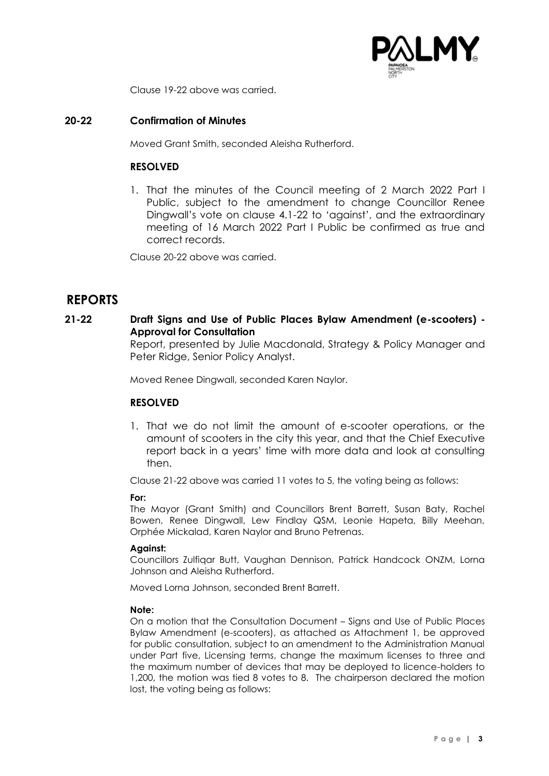

Clause 19-22 above was carried.

### **20-22 Confirmation of Minutes**

Moved Grant Smith, seconded Aleisha Rutherford.

### **RESOLVED**

1. That the minutes of the Council meeting of 2 March 2022 Part I Public, subject to the amendment to change Councillor Renee Dingwall's vote on clause 4.1-22 to 'against', and the extraordinary meeting of 16 March 2022 Part I Public be confirmed as true and correct records.

Clause 20-22 above was carried.

## **REPORTS**

### **21-22 Draft Signs and Use of Public Places Bylaw Amendment (e-scooters) - Approval for Consultation**

Report, presented by Julie Macdonald, Strategy & Policy Manager and Peter Ridge, Senior Policy Analyst.

Moved Renee Dingwall, seconded Karen Naylor.

### **RESOLVED**

1. That we do not limit the amount of e-scooter operations, or the amount of scooters in the city this year, and that the Chief Executive report back in a years' time with more data and look at consulting then.

Clause 21-22 above was carried 11 votes to 5, the voting being as follows:

#### **For:**

The Mayor (Grant Smith) and Councillors Brent Barrett, Susan Baty, Rachel Bowen, Renee Dingwall, Lew Findlay QSM, Leonie Hapeta, Billy Meehan, Orphée Mickalad, Karen Naylor and Bruno Petrenas.

#### **Against:**

Councillors Zulfiqar Butt, Vaughan Dennison, Patrick Handcock ONZM, Lorna Johnson and Aleisha Rutherford.

Moved Lorna Johnson, seconded Brent Barrett.

#### **Note:**

On a motion that the Consultation Document – Signs and Use of Public Places Bylaw Amendment (e-scooters), as attached as Attachment 1, be approved for public consultation, subject to an amendment to the Administration Manual under Part five, Licensing terms, change the maximum licenses to three and the maximum number of devices that may be deployed to licence-holders to 1,200, the motion was tied 8 votes to 8. The chairperson declared the motion lost, the voting being as follows: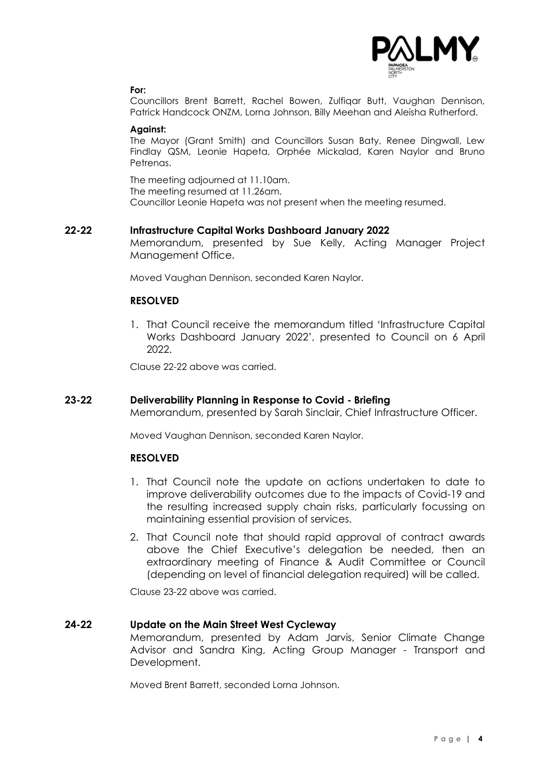

#### **For:**

Councillors Brent Barrett, Rachel Bowen, Zulfiqar Butt, Vaughan Dennison, Patrick Handcock ONZM, Lorna Johnson, Billy Meehan and Aleisha Rutherford.

#### **Against:**

The Mayor (Grant Smith) and Councillors Susan Baty, Renee Dingwall, Lew Findlay QSM, Leonie Hapeta, Orphée Mickalad, Karen Naylor and Bruno **Petrenas** 

The meeting adjourned at 11.10am. The meeting resumed at 11.26am. Councillor Leonie Hapeta was not present when the meeting resumed.

#### **22-22 Infrastructure Capital Works Dashboard January 2022**

Memorandum, presented by Sue Kelly, Acting Manager Project Management Office.

Moved Vaughan Dennison, seconded Karen Naylor.

### **RESOLVED**

1. That Council receive the memorandum titled 'Infrastructure Capital Works Dashboard January 2022', presented to Council on 6 April 2022.

Clause 22-22 above was carried.

#### **23-22 Deliverability Planning in Response to Covid - Briefing**

Memorandum, presented by Sarah Sinclair, Chief Infrastructure Officer.

Moved Vaughan Dennison, seconded Karen Naylor.

### **RESOLVED**

- 1. That Council note the update on actions undertaken to date to improve deliverability outcomes due to the impacts of Covid-19 and the resulting increased supply chain risks, particularly focussing on maintaining essential provision of services.
- 2. That Council note that should rapid approval of contract awards above the Chief Executive's delegation be needed, then an extraordinary meeting of Finance & Audit Committee or Council (depending on level of financial delegation required) will be called.

Clause 23-22 above was carried.

### **24-22 Update on the Main Street West Cycleway**

Memorandum, presented by Adam Jarvis, Senior Climate Change Advisor and Sandra King, Acting Group Manager - Transport and Development.

Moved Brent Barrett, seconded Lorna Johnson.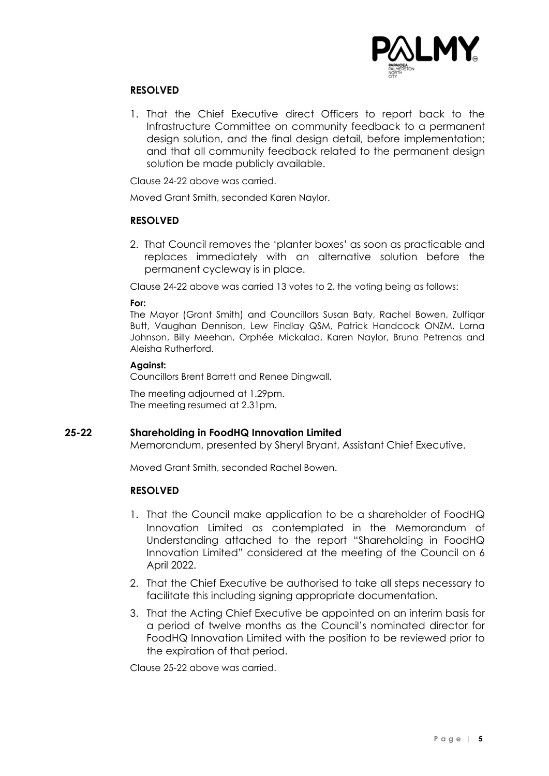

### **RESOLVED**

1. That the Chief Executive direct Officers to report back to the Infrastructure Committee on community feedback to a permanent design solution, and the final design detail, before implementation; and that all community feedback related to the permanent design solution be made publicly available.

Clause 24-22 above was carried.

Moved Grant Smith, seconded Karen Naylor.

### **RESOLVED**

2. That Council removes the 'planter boxes' as soon as practicable and replaces immediately with an alternative solution before the permanent cycleway is in place.

Clause 24-22 above was carried 13 votes to 2, the voting being as follows:

#### **For:**

The Mayor (Grant Smith) and Councillors Susan Baty, Rachel Bowen, Zulfiqar Butt, Vaughan Dennison, Lew Findlay QSM, Patrick Handcock ONZM, Lorna Johnson, Billy Meehan, Orphée Mickalad, Karen Naylor, Bruno Petrenas and Aleisha Rutherford.

#### **Against:**

Councillors Brent Barrett and Renee Dingwall.

The meeting adjourned at 1.29pm. The meeting resumed at 2.31pm.

#### **25-22 Shareholding in FoodHQ Innovation Limited**

Memorandum, presented by Sheryl Bryant, Assistant Chief Executive.

Moved Grant Smith, seconded Rachel Bowen.

### **RESOLVED**

- 1. That the Council make application to be a shareholder of FoodHQ Innovation Limited as contemplated in the Memorandum of Understanding attached to the report "Shareholding in FoodHQ Innovation Limited" considered at the meeting of the Council on 6 April 2022.
- 2. That the Chief Executive be authorised to take all steps necessary to facilitate this including signing appropriate documentation.
- 3. That the Acting Chief Executive be appointed on an interim basis for a period of twelve months as the Council's nominated director for FoodHQ Innovation Limited with the position to be reviewed prior to the expiration of that period.

Clause 25-22 above was carried.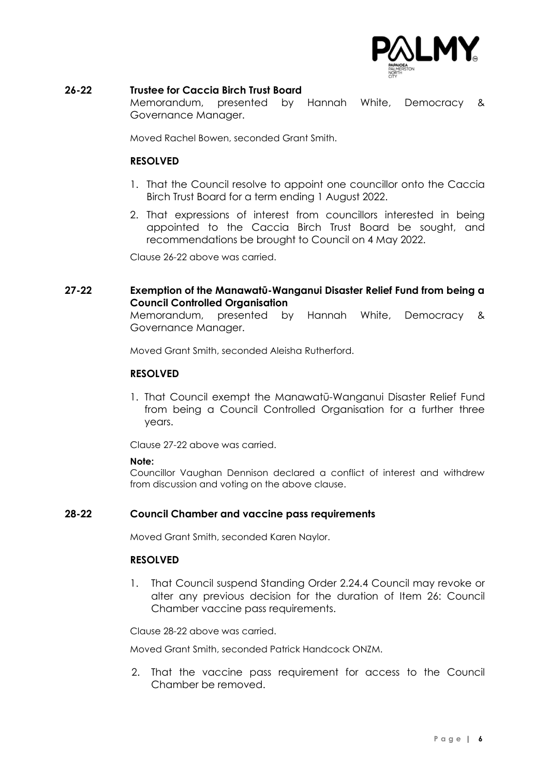

### **26-22 Trustee for Caccia Birch Trust Board**

Memorandum, presented by Hannah White, Democracy & Governance Manager.

Moved Rachel Bowen, seconded Grant Smith.

### **RESOLVED**

- 1. That the Council resolve to appoint one councillor onto the Caccia Birch Trust Board for a term ending 1 August 2022.
- 2. That expressions of interest from councillors interested in being appointed to the Caccia Birch Trust Board be sought, and recommendations be brought to Council on 4 May 2022.

Clause 26-22 above was carried.

### **27-22 Exemption of the Manawatū-Wanganui Disaster Relief Fund from being a Council Controlled Organisation**

Memorandum, presented by Hannah White, Democracy & Governance Manager.

Moved Grant Smith, seconded Aleisha Rutherford.

### **RESOLVED**

1. That Council exempt the Manawatū-Wanganui Disaster Relief Fund from being a Council Controlled Organisation for a further three years.

Clause 27-22 above was carried.

#### **Note:**

Councillor Vaughan Dennison declared a conflict of interest and withdrew from discussion and voting on the above clause.

### **28-22 Council Chamber and vaccine pass requirements**

Moved Grant Smith, seconded Karen Naylor.

### **RESOLVED**

1. That Council suspend Standing Order 2.24.4 Council may revoke or alter any previous decision for the duration of Item 26: Council Chamber vaccine pass requirements.

Clause 28-22 above was carried.

Moved Grant Smith, seconded Patrick Handcock ONZM.

2. That the vaccine pass requirement for access to the Council Chamber be removed.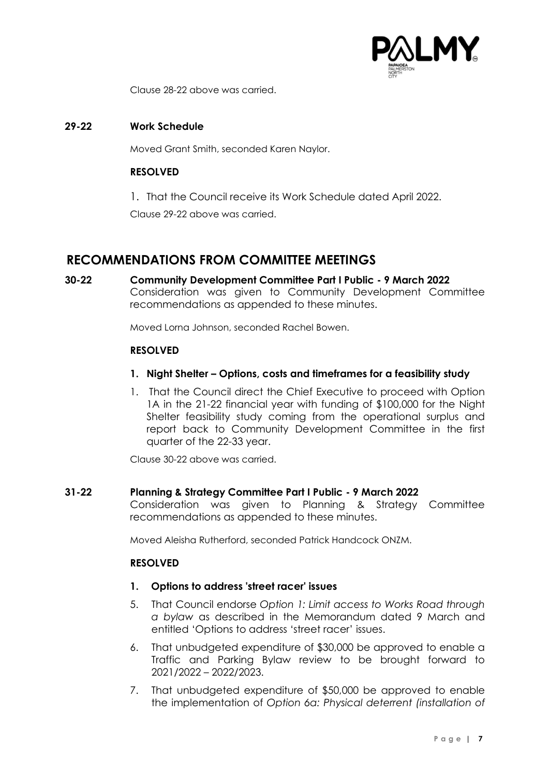

Clause 28-22 above was carried.

### **29-22 Work Schedule**

Moved Grant Smith, seconded Karen Naylor.

### **RESOLVED**

1. That the Council receive its Work Schedule dated April 2022.

Clause 29-22 above was carried.

# **RECOMMENDATIONS FROM COMMITTEE MEETINGS**

**30-22 Community Development Committee Part I Public - 9 March 2022** Consideration was given to Community Development Committee recommendations as appended to these minutes.

Moved Lorna Johnson, seconded Rachel Bowen.

### **RESOLVED**

- **1. Night Shelter – Options, costs and timeframes for a feasibility study**
- 1. That the Council direct the Chief Executive to proceed with Option 1A in the 21-22 financial year with funding of \$100,000 for the Night Shelter feasibility study coming from the operational surplus and report back to Community Development Committee in the first quarter of the 22-33 year.

Clause 30-22 above was carried.

#### **31-22 Planning & Strategy Committee Part I Public - 9 March 2022**

Consideration was given to Planning & Strategy Committee recommendations as appended to these minutes.

Moved Aleisha Rutherford, seconded Patrick Handcock ONZM.

### **RESOLVED**

#### **1. Options to address 'street racer' issues**

- 5. That Council endorse *Option 1: Limit access to Works Road through a bylaw* as described in the Memorandum dated 9 March and entitled 'Options to address 'street racer' issues.
- 6. That unbudgeted expenditure of \$30,000 be approved to enable a Traffic and Parking Bylaw review to be brought forward to 2021/2022 – 2022/2023.
- 7. That unbudgeted expenditure of \$50,000 be approved to enable the implementation of *Option 6a: Physical deterrent (installation of*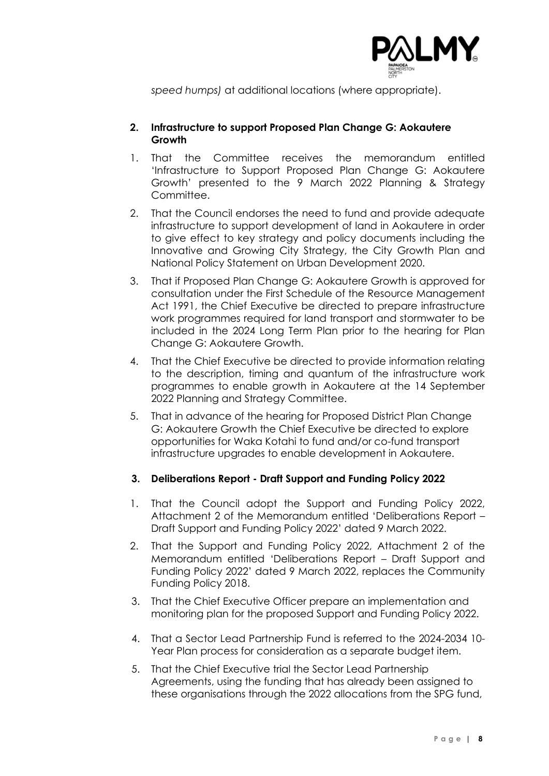

*speed humps)* at additional locations (where appropriate).

### **2. Infrastructure to support Proposed Plan Change G: Aokautere Growth**

- 1. That the Committee receives the memorandum entitled 'Infrastructure to Support Proposed Plan Change G: Aokautere Growth' presented to the 9 March 2022 Planning & Strategy Committee.
- 2. That the Council endorses the need to fund and provide adequate infrastructure to support development of land in Aokautere in order to give effect to key strategy and policy documents including the Innovative and Growing City Strategy, the City Growth Plan and National Policy Statement on Urban Development 2020.
- 3. That if Proposed Plan Change G: Aokautere Growth is approved for consultation under the First Schedule of the Resource Management Act 1991, the Chief Executive be directed to prepare infrastructure work programmes required for land transport and stormwater to be included in the 2024 Long Term Plan prior to the hearing for Plan Change G: Aokautere Growth.
- 4. That the Chief Executive be directed to provide information relating to the description, timing and quantum of the infrastructure work programmes to enable growth in Aokautere at the 14 September 2022 Planning and Strategy Committee.
- 5. That in advance of the hearing for Proposed District Plan Change G: Aokautere Growth the Chief Executive be directed to explore opportunities for Waka Kotahi to fund and/or co-fund transport infrastructure upgrades to enable development in Aokautere.

### **3. Deliberations Report - Draft Support and Funding Policy 2022**

- 1. That the Council adopt the Support and Funding Policy 2022, Attachment 2 of the Memorandum entitled 'Deliberations Report – Draft Support and Funding Policy 2022' dated 9 March 2022.
- 2. That the Support and Funding Policy 2022, Attachment 2 of the Memorandum entitled 'Deliberations Report – Draft Support and Funding Policy 2022' dated 9 March 2022, replaces the Community Funding Policy 2018.
- 3. That the Chief Executive Officer prepare an implementation and monitoring plan for the proposed Support and Funding Policy 2022.
- 4. That a Sector Lead Partnership Fund is referred to the 2024-2034 10- Year Plan process for consideration as a separate budget item.
- 5. That the Chief Executive trial the Sector Lead Partnership Agreements, using the funding that has already been assigned to these organisations through the 2022 allocations from the SPG fund,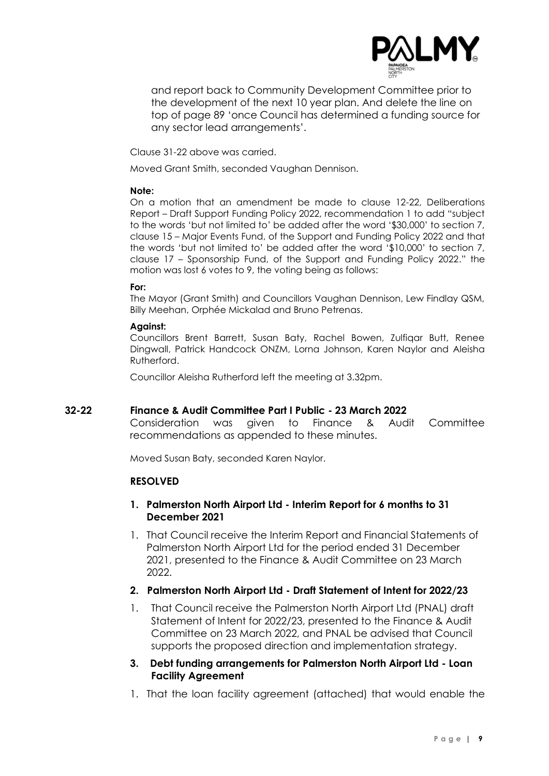

and report back to Community Development Committee prior to the development of the next 10 year plan. And delete the line on top of page 89 'once Council has determined a funding source for any sector lead arrangements'.

Clause 31-22 above was carried.

Moved Grant Smith, seconded Vaughan Dennison.

### **Note:**

On a motion that an amendment be made to clause 12-22, Deliberations Report – Draft Support Funding Policy 2022, recommendation 1 to add "subject to the words 'but not limited to' be added after the word '\$30,000' to section 7, clause 15 – Major Events Fund, of the Support and Funding Policy 2022 and that the words 'but not limited to' be added after the word '\$10,000' to section 7, clause 17 – Sponsorship Fund, of the Support and Funding Policy 2022." the motion was lost 6 votes to 9, the voting being as follows:

### **For:**

The Mayor (Grant Smith) and Councillors Vaughan Dennison, Lew Findlay QSM, Billy Meehan, Orphée Mickalad and Bruno Petrenas.

### **Against:**

Councillors Brent Barrett, Susan Baty, Rachel Bowen, Zulfiqar Butt, Renee Dingwall, Patrick Handcock ONZM, Lorna Johnson, Karen Naylor and Aleisha Rutherford.

Councillor Aleisha Rutherford left the meeting at 3.32pm.

### **32-22 Finance & Audit Committee Part I Public - 23 March 2022**

Consideration was given to Finance & Audit Committee recommendations as appended to these minutes.

Moved Susan Baty, seconded Karen Naylor.

### **RESOLVED**

### **1. Palmerston North Airport Ltd - Interim Report for 6 months to 31 December 2021**

1. That Council receive the Interim Report and Financial Statements of Palmerston North Airport Ltd for the period ended 31 December 2021, presented to the Finance & Audit Committee on 23 March 2022.

### **2. Palmerston North Airport Ltd - Draft Statement of Intent for 2022/23**

1. That Council receive the Palmerston North Airport Ltd (PNAL) draft Statement of Intent for 2022/23, presented to the Finance & Audit Committee on 23 March 2022, and PNAL be advised that Council supports the proposed direction and implementation strategy.

### **3. Debt funding arrangements for Palmerston North Airport Ltd - Loan Facility Agreement**

1. That the loan facility agreement (attached) that would enable the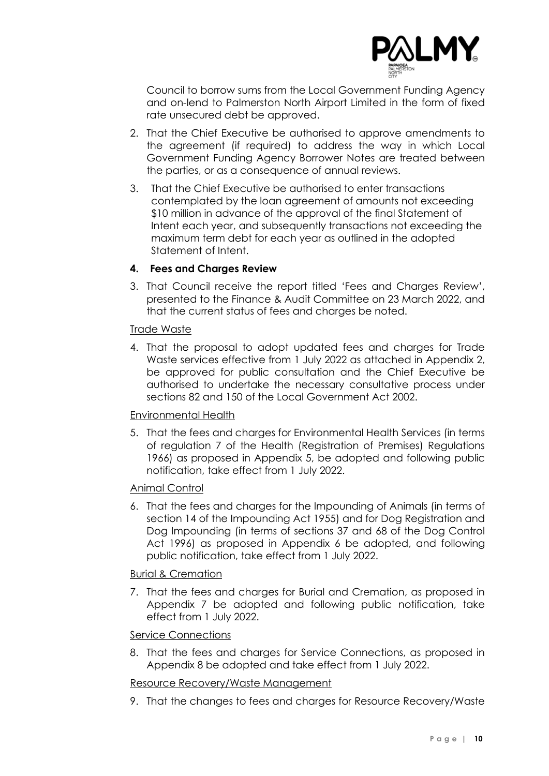

Council to borrow sums from the Local Government Funding Agency and on-lend to Palmerston North Airport Limited in the form of fixed rate unsecured debt be approved.

- 2. That the Chief Executive be authorised to approve amendments to the agreement (if required) to address the way in which Local Government Funding Agency Borrower Notes are treated between the parties, or as a consequence of annual reviews.
- 3. That the Chief Executive be authorised to enter transactions contemplated by the loan agreement of amounts not exceeding \$10 million in advance of the approval of the final Statement of Intent each year, and subsequently transactions not exceeding the maximum term debt for each year as outlined in the adopted Statement of Intent.

### **4. Fees and Charges Review**

3. That Council receive the report titled 'Fees and Charges Review', presented to the Finance & Audit Committee on 23 March 2022, and that the current status of fees and charges be noted.

### Trade Waste

4. That the proposal to adopt updated fees and charges for Trade Waste services effective from 1 July 2022 as attached in Appendix 2, be approved for public consultation and the Chief Executive be authorised to undertake the necessary consultative process under sections 82 and 150 of the Local Government Act 2002.

### Environmental Health

5. That the fees and charges for Environmental Health Services (in terms of regulation 7 of the Health (Registration of Premises) Regulations 1966) as proposed in Appendix 5, be adopted and following public notification, take effect from 1 July 2022.

### Animal Control

6. That the fees and charges for the Impounding of Animals (in terms of section 14 of the Impounding Act 1955) and for Dog Registration and Dog Impounding (in terms of sections 37 and 68 of the Dog Control Act 1996) as proposed in Appendix 6 be adopted, and following public notification, take effect from 1 July 2022.

### Burial & Cremation

7. That the fees and charges for Burial and Cremation, as proposed in Appendix 7 be adopted and following public notification, take effect from 1 July 2022.

### Service Connections

8. That the fees and charges for Service Connections, as proposed in Appendix 8 be adopted and take effect from 1 July 2022.

### Resource Recovery/Waste Management

9. That the changes to fees and charges for Resource Recovery/Waste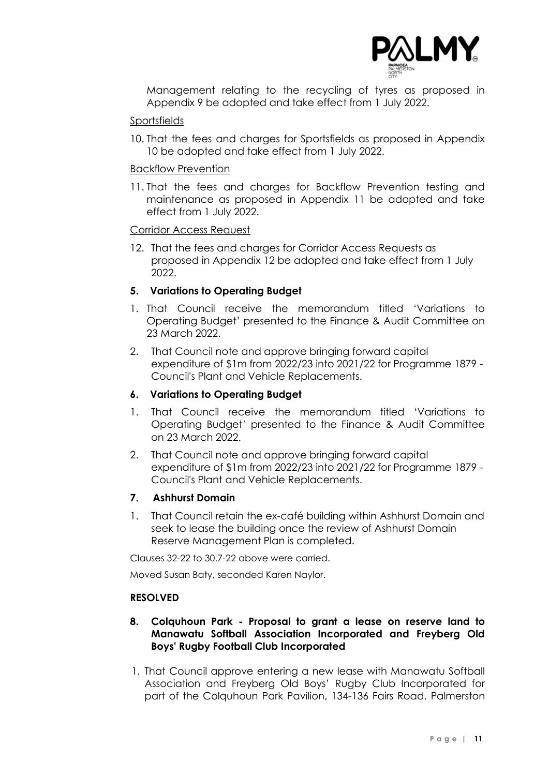

Management relating to the recycling of tyres as proposed in Appendix 9 be adopted and take effect from 1 July 2022.

### Sportsfields

10. That the fees and charges for Sportsfields as proposed in Appendix 10 be adopted and take effect from 1 July 2022.

### Backflow Prevention

11. That the fees and charges for Backflow Prevention testing and maintenance as proposed in Appendix 11 be adopted and take effect from 1 July 2022.

### Corridor Access Request

12. That the fees and charges for Corridor Access Requests as proposed in Appendix 12 be adopted and take effect from 1 July 2022.

### **5. Variations to Operating Budget**

- 1. That Council receive the memorandum titled 'Variations to Operating Budget' presented to the Finance & Audit Committee on 23 March 2022.
- 2. That Council note and approve bringing forward capital expenditure of \$1m from 2022/23 into 2021/22 for Programme 1879 - Council's Plant and Vehicle Replacements.

### **6. Variations to Operating Budget**

- 1. That Council receive the memorandum titled 'Variations to Operating Budget' presented to the Finance & Audit Committee on 23 March 2022.
- 2. That Council note and approve bringing forward capital expenditure of \$1m from 2022/23 into 2021/22 for Programme 1879 - Council's Plant and Vehicle Replacements.

### **7. Ashhurst Domain**

1. That Council retain the ex-café building within Ashhurst Domain and seek to lease the building once the review of Ashhurst Domain Reserve Management Plan is completed.

Clauses 32-22 to 30.7-22 above were carried.

Moved Susan Baty, seconded Karen Naylor.

### **RESOLVED**

### **8. Colquhoun Park - Proposal to grant a lease on reserve land to Manawatu Softball Association Incorporated and Freyberg Old Boys' Rugby Football Club Incorporated**

1. That Council approve entering a new lease with Manawatu Softball Association and Freyberg Old Boys' Rugby Club Incorporated for part of the Colquhoun Park Pavilion, 134-136 Fairs Road, Palmerston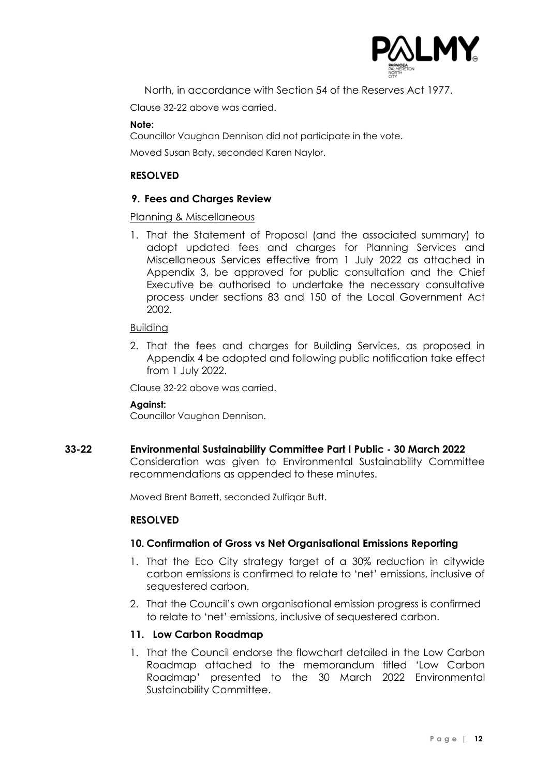

North, in accordance with Section 54 of the Reserves Act 1977.

Clause 32-22 above was carried.

#### **Note:**

Councillor Vaughan Dennison did not participate in the vote.

Moved Susan Baty, seconded Karen Naylor.

### **RESOLVED**

### **9. Fees and Charges Review**

### Planning & Miscellaneous

1. That the Statement of Proposal (and the associated summary) to adopt updated fees and charges for Planning Services and Miscellaneous Services effective from 1 July 2022 as attached in Appendix 3, be approved for public consultation and the Chief Executive be authorised to undertake the necessary consultative process under sections 83 and 150 of the Local Government Act 2002.

### Building

2. That the fees and charges for Building Services, as proposed in Appendix 4 be adopted and following public notification take effect from 1 July 2022.

Clause 32-22 above was carried.

### **Against:**

Councillor Vaughan Dennison.

### **33-22 Environmental Sustainability Committee Part I Public - 30 March 2022**

Consideration was given to Environmental Sustainability Committee recommendations as appended to these minutes.

Moved Brent Barrett, seconded Zulfiqar Butt.

### **RESOLVED**

### **10. Confirmation of Gross vs Net Organisational Emissions Reporting**

- 1. That the Eco City strategy target of a 30% reduction in citywide carbon emissions is confirmed to relate to 'net' emissions, inclusive of sequestered carbon.
- 2. That the Council's own organisational emission progress is confirmed to relate to 'net' emissions, inclusive of sequestered carbon.

### **11. Low Carbon Roadmap**

1. That the Council endorse the flowchart detailed in the Low Carbon Roadmap attached to the memorandum titled 'Low Carbon Roadmap' presented to the 30 March 2022 Environmental Sustainability Committee.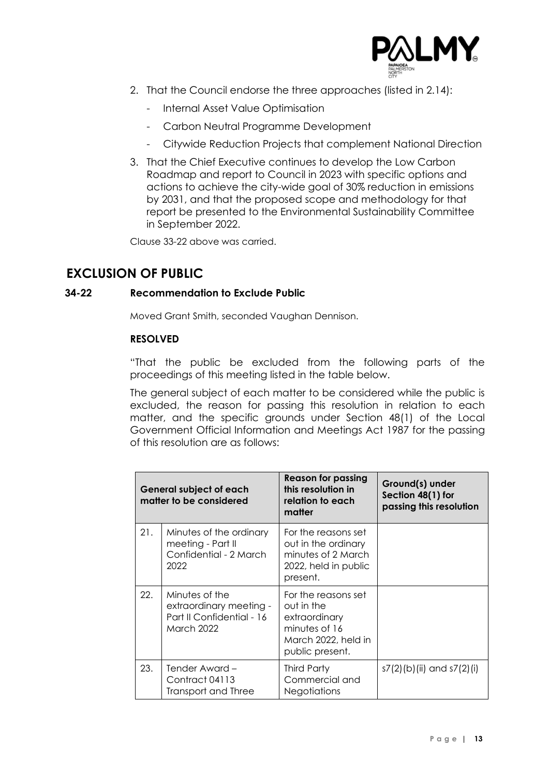

- 2. That the Council endorse the three approaches (listed in 2.14):
	- Internal Asset Value Optimisation
	- Carbon Neutral Programme Development
	- Citywide Reduction Projects that complement National Direction
- 3. That the Chief Executive continues to develop the Low Carbon Roadmap and report to Council in 2023 with specific options and actions to achieve the city-wide goal of 30% reduction in emissions by 2031, and that the proposed scope and methodology for that report be presented to the Environmental Sustainability Committee in September 2022.

Clause 33-22 above was carried.

# **EXCLUSION OF PUBLIC**

### **34-22 Recommendation to Exclude Public**

Moved Grant Smith, seconded Vaughan Dennison.

### **RESOLVED**

"That the public be excluded from the following parts of the proceedings of this meeting listed in the table below.

The general subject of each matter to be considered while the public is excluded, the reason for passing this resolution in relation to each matter, and the specific grounds under Section 48(1) of the Local Government Official Information and Meetings Act 1987 for the passing of this resolution are as follows:

| <b>General subject of each</b><br>matter to be considered |                                                                                      | <b>Reason for passing</b><br>this resolution in<br>relation to each<br>matter                                 | Ground(s) under<br>Section 48(1) for<br>passing this resolution |
|-----------------------------------------------------------|--------------------------------------------------------------------------------------|---------------------------------------------------------------------------------------------------------------|-----------------------------------------------------------------|
| 21.                                                       | Minutes of the ordinary<br>meeting - Part II<br>Confidential - 2 March<br>2022       | For the reasons set<br>out in the ordinary<br>minutes of 2 March<br>2022, held in public<br>present.          |                                                                 |
| 22.                                                       | Minutes of the<br>extraordinary meeting -<br>Part II Confidential - 16<br>March 2022 | For the reasons set<br>out in the<br>extraordinary<br>minutes of 16<br>March 2022, held in<br>public present. |                                                                 |
| 23.                                                       | Tender Award –<br>Contract 04113<br>Transport and Three                              | Third Party<br>Commercial and<br><b>Negotiations</b>                                                          | s7(2)(b)(ii) and s7(2)(i)                                       |